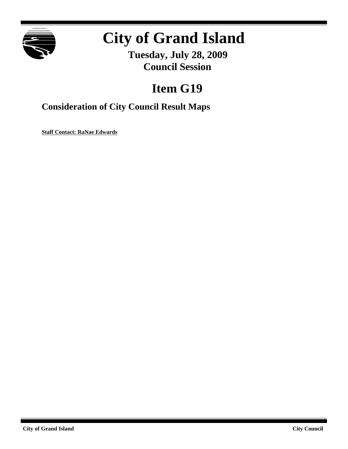

# **City of Grand Island**

**Tuesday, July 28, 2009 Council Session**

# **Item G19**

### **Consideration of City Council Result Maps**

**Staff Contact: RaNae Edwards**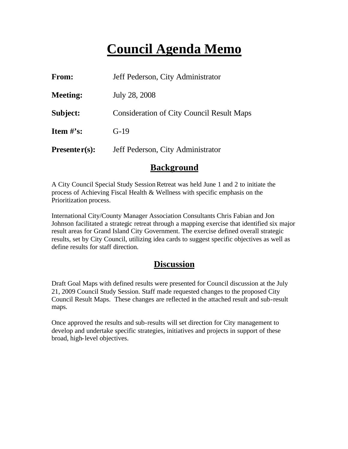## **Council Agenda Memo**

| From:           | Jeff Pederson, City Administrator                |
|-----------------|--------------------------------------------------|
| <b>Meeting:</b> | July 28, 2008                                    |
| Subject:        | <b>Consideration of City Council Result Maps</b> |
| Item $\#$ 's:   | $G-19$                                           |
| $Presenter(s):$ | Jeff Pederson, City Administrator                |

#### **Background**

A City Council Special Study Session Retreat was held June 1 and 2 to initiate the process of Achieving Fiscal Health & Wellness with specific emphasis on the Prioritization process.

International City/County Manager Association Consultants Chris Fabian and Jon Johnson facilitated a strategic retreat through a mapping exercise that identified six major result areas for Grand Island City Government. The exercise defined overall strategic results, set by City Council, utilizing idea cards to suggest specific objectives as well as define results for staff direction.

#### **Discussion**

Draft Goal Maps with defined results were presented for Council discussion at the July 21, 2009 Council Study Session. Staff made requested changes to the proposed City Council Result Maps. These changes are reflected in the attached result and sub-result maps.

Once approved the results and sub-results will set direction for City management to develop and undertake specific strategies, initiatives and projects in support of these broad, high-level objectives.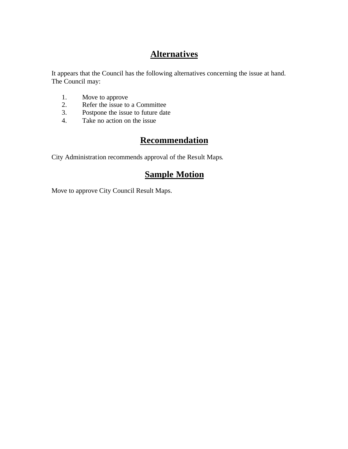### **Alternatives**

It appears that the Council has the following alternatives concerning the issue at hand. The Council may:

- 1. Move to approve<br>2. Refer the issue to
- 2. Refer the issue to a Committee<br>3. Postpone the issue to future date
- Postpone the issue to future date
- 4. Take no action on the issue

#### **Recommendation**

City Administration recommends approval of the Result Maps.

#### **Sample Motion**

Move to approve City Council Result Maps.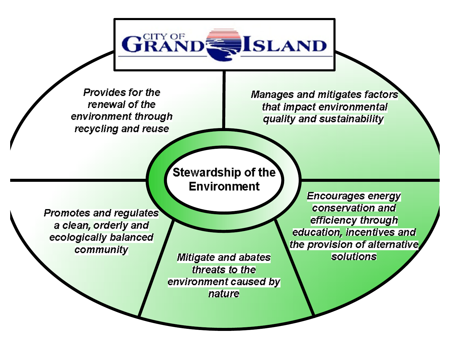Provides for the renewal of the environment through recycling and reuse

**GRAN** 

Manages and mitigates factors that impact environmental quality and sustainability

**ISLAND** 

Stewardship of the **Environment** 

**Promotes and regulates** a clean, orderly and ecologically balanced community

**Mitigate and abates** threats to the environment caused by nature

**Encourages energy** conservation and efficiency through education, incentives and the provision of alternative. **solutions**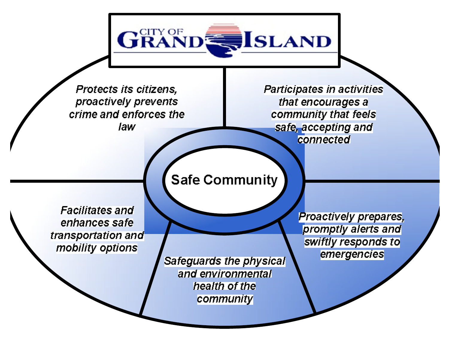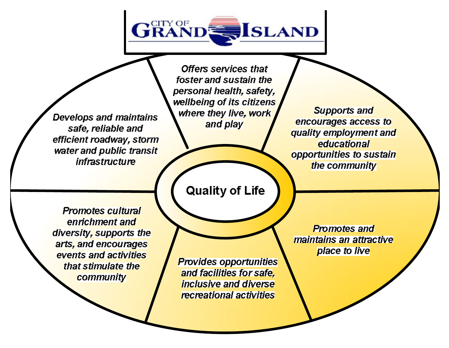

Develops and maintains safe, reliable and efficient roadway, storm water and public transit *infrastructure* 

**Offers services that** foster and sustain the personal health, safety, wellbeing of its citizens where they live, work and play

**Supports and** encourages access to quality employment and educational opportunities to sustain the community

**Promotes cultural** enrichment and diversity, supports the arts, and encourages events and activities that stimulate the community

**Quality of Life** 

**Provides opportunities** and facilities for safe. inclusive and diverse recreational activities

**Promotes and** maintains an attractive place to live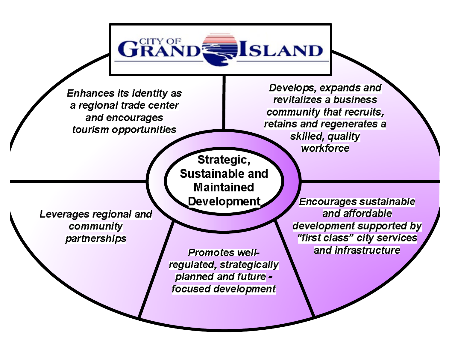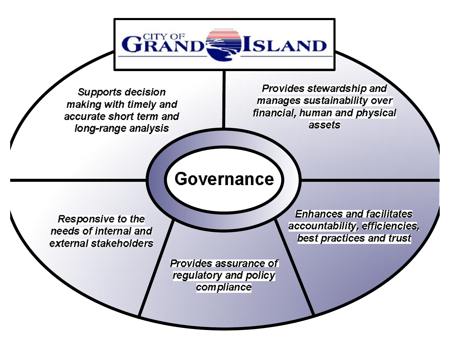